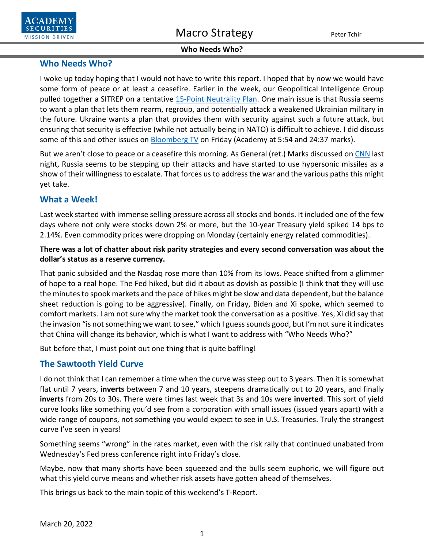# **Who Needs Who?**

I woke up today hoping that I would not have to write this report. I hoped that by now we would have some form of peace or at least a ceasefire. Earlier in the week, our Geopolitical Intelligence Group pulled together a SITREP on a tentative [15-Point Neutrality Plan.](https://www.academysecurities.com/tentative-15-point-neutrality-plan-to-end-war-in-ukraine/) One main issue is that Russia seems to want a plan that lets them rearm, regroup, and potentially attack a weakened Ukrainian military in the future. Ukraine wants a plan that provides them with security against such a future attack, but ensuring that security is effective (while not actually being in NATO) is difficult to achieve. I did discuss some of this and other issues on **Bloomberg TV** on Friday (Academy at 5:54 and 24:37 marks).

But we aren't close to peace or a ceasefire this morning. As General (ret.) Marks discussed o[n CNN](https://video.snapstream.net/Play/6w9q733WhUVDDc7biZKHAj?accessToken=dfudc4itlx2t5) last night, Russia seems to be stepping up their attacks and have started to use hypersonic missiles as a show of their willingness to escalate. That forces us to address the war and the various paths this might yet take.

# **What a Week!**

Last week started with immense selling pressure across all stocks and bonds. It included one of the few days where not only were stocks down 2% or more, but the 10-year Treasury yield spiked 14 bps to 2.14%. Even commodity prices were dropping on Monday (certainly energy related commodities).

### **There was a lot of chatter about risk parity strategies and every second conversation was about the dollar's status as a reserve currency.**

That panic subsided and the Nasdaq rose more than 10% from its lows. Peace shifted from a glimmer of hope to a real hope. The Fed hiked, but did it about as dovish as possible (I think that they will use the minutes to spook markets and the pace of hikes might be slow and data dependent, but the balance sheet reduction is going to be aggressive). Finally, on Friday, Biden and Xi spoke, which seemed to comfort markets. I am not sure why the market took the conversation as a positive. Yes, Xi did say that the invasion "is not something we want to see," which I guess sounds good, but I'm not sure it indicates that China will change its behavior, which is what I want to address with "Who Needs Who?"

But before that, I must point out one thing that is quite baffling!

# **The Sawtooth Yield Curve**

I do not think that I can remember a time when the curve was steep out to 3 years. Then it is somewhat flat until 7 years, **inverts** between 7 and 10 years, steepens dramatically out to 20 years, and finally **inverts** from 20s to 30s. There were times last week that 3s and 10s were **inverted**. This sort of yield curve looks like something you'd see from a corporation with small issues (issued years apart) with a wide range of coupons, not something you would expect to see in U.S. Treasuries. Truly the strangest curve I've seen in years!

Something seems "wrong" in the rates market, even with the risk rally that continued unabated from Wednesday's Fed press conference right into Friday's close.

Maybe, now that many shorts have been squeezed and the bulls seem euphoric, we will figure out what this yield curve means and whether risk assets have gotten ahead of themselves.

This brings us back to the main topic of this weekend's T-Report.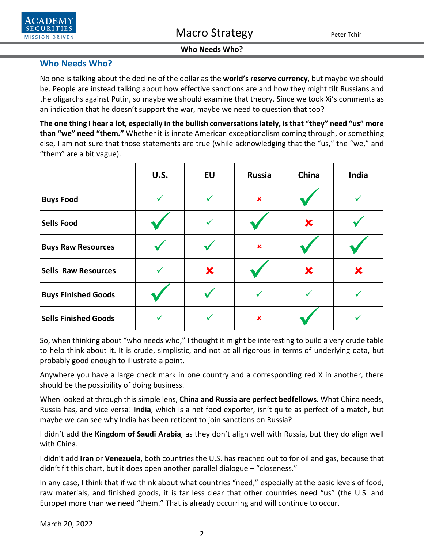

### **Who Needs Who?**

No one is talking about the decline of the dollar as the **world's reserve currency**, but maybe we should be. People are instead talking about how effective sanctions are and how they might tilt Russians and the oligarchs against Putin, so maybe we should examine that theory. Since we took Xi's comments as an indication that he doesn't support the war, maybe we need to question that too?

**The one thing I hear a lot, especially in the bullish conversations lately, is that "they" need "us" more than "we" need "them."** Whether it is innate American exceptionalism coming through, or something else, I am not sure that those statements are true (while acknowledging that the "us," the "we," and "them" are a bit vague).

|                             | <b>U.S.</b> | <b>EU</b>    | <b>Russia</b>  | China    | India |
|-----------------------------|-------------|--------------|----------------|----------|-------|
| <b>Buys Food</b>            |             | ✓            | $\pmb{\times}$ |          |       |
| <b>Sells Food</b>           |             | $\checkmark$ |                | $\bm{x}$ |       |
| <b>Buys Raw Resources</b>   |             |              | $\pmb{\times}$ |          |       |
| <b>Sells Raw Resources</b>  |             | x            |                | X        | X     |
| <b>Buys Finished Goods</b>  |             |              |                |          |       |
| <b>Sells Finished Goods</b> |             | $\checkmark$ | $\pmb{\times}$ |          |       |

So, when thinking about "who needs who," I thought it might be interesting to build a very crude table to help think about it. It is crude, simplistic, and not at all rigorous in terms of underlying data, but probably good enough to illustrate a point.

Anywhere you have a large check mark in one country and a corresponding red X in another, there should be the possibility of doing business.

When looked at through this simple lens, **China and Russia are perfect bedfellows**. What China needs, Russia has, and vice versa! **India**, which is a net food exporter, isn't quite as perfect of a match, but maybe we can see why India has been reticent to join sanctions on Russia?

I didn't add the **Kingdom of Saudi Arabia**, as they don't align well with Russia, but they do align well with China.

I didn't add **Iran** or **Venezuela**, both countries the U.S. has reached out to for oil and gas, because that didn't fit this chart, but it does open another parallel dialogue – "closeness."

In any case, I think that if we think about what countries "need," especially at the basic levels of food, raw materials, and finished goods, it is far less clear that other countries need "us" (the U.S. and Europe) more than we need "them." That is already occurring and will continue to occur.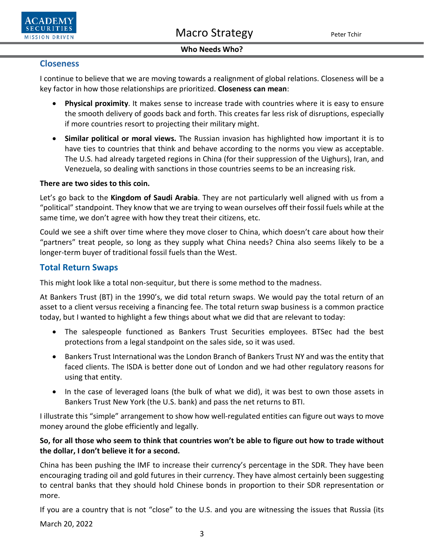

### **Closeness**

I continue to believe that we are moving towards a realignment of global relations. Closeness will be a key factor in how those relationships are prioritized. **Closeness can mean**:

- **Physical proximity**. It makes sense to increase trade with countries where it is easy to ensure the smooth delivery of goods back and forth. This creates far less risk of disruptions, especially if more countries resort to projecting their military might.
- **Similar political or moral views.** The Russian invasion has highlighted how important it is to have ties to countries that think and behave according to the norms you view as acceptable. The U.S. had already targeted regions in China (for their suppression of the Uighurs), Iran, and Venezuela, so dealing with sanctions in those countries seems to be an increasing risk.

### **There are two sides to this coin.**

Let's go back to the **Kingdom of Saudi Arabia**. They are not particularly well aligned with us from a "political" standpoint. They know that we are trying to wean ourselves off their fossil fuels while at the same time, we don't agree with how they treat their citizens, etc.

Could we see a shift over time where they move closer to China, which doesn't care about how their "partners" treat people, so long as they supply what China needs? China also seems likely to be a longer-term buyer of traditional fossil fuels than the West.

# **Total Return Swaps**

This might look like a total non-sequitur, but there is some method to the madness.

At Bankers Trust (BT) in the 1990's, we did total return swaps. We would pay the total return of an asset to a client versus receiving a financing fee. The total return swap business is a common practice today, but I wanted to highlight a few things about what we did that are relevant to today:

- The salespeople functioned as Bankers Trust Securities employees. BTSec had the best protections from a legal standpoint on the sales side, so it was used.
- Bankers Trust International was the London Branch of Bankers Trust NY and was the entity that faced clients. The ISDA is better done out of London and we had other regulatory reasons for using that entity.
- In the case of leveraged loans (the bulk of what we did), it was best to own those assets in Bankers Trust New York (the U.S. bank) and pass the net returns to BTI.

I illustrate this "simple" arrangement to show how well-regulated entities can figure out ways to move money around the globe efficiently and legally.

### **So, for all those who seem to think that countries won't be able to figure out how to trade without the dollar, I don't believe it for a second.**

China has been pushing the IMF to increase their currency's percentage in the SDR. They have been encouraging trading oil and gold futures in their currency. They have almost certainly been suggesting to central banks that they should hold Chinese bonds in proportion to their SDR representation or more.

March 20, 2022 If you are a country that is not "close" to the U.S. and you are witnessing the issues that Russia (its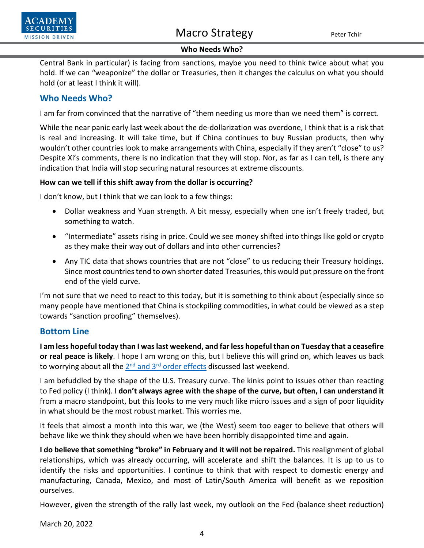

Central Bank in particular) is facing from sanctions, maybe you need to think twice about what you hold. If we can "weaponize" the dollar or Treasuries, then it changes the calculus on what you should hold (or at least I think it will).

# **Who Needs Who?**

I am far from convinced that the narrative of "them needing us more than we need them" is correct.

While the near panic early last week about the de-dollarization was overdone, I think that is a risk that is real and increasing. It will take time, but if China continues to buy Russian products, then why wouldn't other countries look to make arrangements with China, especially if they aren't "close" to us? Despite Xi's comments, there is no indication that they will stop. Nor, as far as I can tell, is there any indication that India will stop securing natural resources at extreme discounts.

### **How can we tell if this shift away from the dollar is occurring?**

I don't know, but I think that we can look to a few things:

- Dollar weakness and Yuan strength. A bit messy, especially when one isn't freely traded, but something to watch.
- "Intermediate" assets rising in price. Could we see money shifted into things like gold or crypto as they make their way out of dollars and into other currencies?
- Any TIC data that shows countries that are not "close" to us reducing their Treasury holdings. Since most countries tend to own shorter dated Treasuries, this would put pressure on the front end of the yield curve.

I'm not sure that we need to react to this today, but it is something to think about (especially since so many people have mentioned that China is stockpiling commodities, in what could be viewed as a step towards "sanction proofing" themselves).

### **Bottom Line**

**I am less hopeful today than I was last weekend, and far less hopeful than on Tuesday that a ceasefire or real peace is likely**. I hope I am wrong on this, but I believe this will grind on, which leaves us back to worrying about all the  $2^{nd}$  and  $3^{rd}$  [order effects](https://www.academysecurities.com/wordpress/wp-content/uploads/2022/03/Russian-Media-De-Linking-Acceleration-2nd-Order-Effects.pdf) discussed last weekend.

I am befuddled by the shape of the U.S. Treasury curve. The kinks point to issues other than reacting to Fed policy (I think). I **don't always agree with the shape of the curve, but often, I can understand it** from a macro standpoint, but this looks to me very much like micro issues and a sign of poor liquidity in what should be the most robust market. This worries me.

It feels that almost a month into this war, we (the West) seem too eager to believe that others will behave like we think they should when we have been horribly disappointed time and again.

**I do believe that something "broke" in February and it will not be repaired.** This realignment of global relationships, which was already occurring, will accelerate and shift the balances. It is up to us to identify the risks and opportunities. I continue to think that with respect to domestic energy and manufacturing, Canada, Mexico, and most of Latin/South America will benefit as we reposition ourselves.

However, given the strength of the rally last week, my outlook on the Fed (balance sheet reduction)

March 20, 2022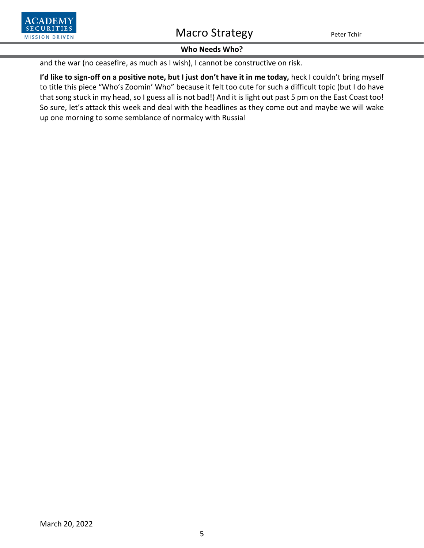

and the war (no ceasefire, as much as I wish), I cannot be constructive on risk.

**I'd like to sign-off on a positive note, but I just don't have it in me today,** heck I couldn't bring myself to title this piece "Who's Zoomin' Who" because it felt too cute for such a difficult topic (but I do have that song stuck in my head, so I guess all is not bad!) And it is light out past 5 pm on the East Coast too! So sure, let's attack this week and deal with the headlines as they come out and maybe we will wake up one morning to some semblance of normalcy with Russia!